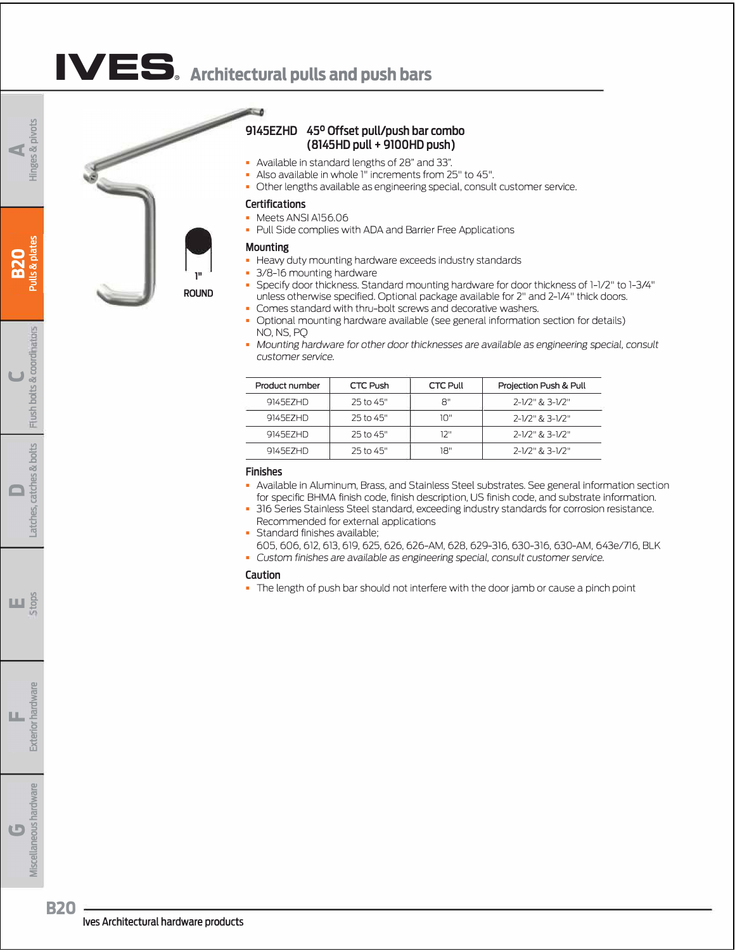# **IVE s® [Architectural pulls and push bars](https://www.iveshinges.com/Ives-9145EZHD-45-degree-Offset-Push-Pull-Combo-items.aspx)**

≂ A



### **9145EZHD 45° Offset pull/push bar combo (8145HD pull+ 9100HD push)**

- Available in standard lengths of 28" and 33".
- Also available in whole l" increments from 25" to 45".
- Other lengths available as engineering special, consult customer service.

### **Certifications**

- Meets ANSI Al56.06
- Pull Side complies with ADA and Barrier Free Applications

### **Mounting**

- Heavy duty mounting hardware exceeds industry standards
- 3/8-16 mounting hardware
- Specify door thickness. Standard mounting hardware for door thickness of l-l/2" to l-3/4" unless otherwise specified. Optional package available for 2" and 2-l/4" thick doors.
- Comes standard with thru-bolt screws and decorative washers.
- Optional mounting hardware available (see general information section for details) NO, NS, PQ
- **Mounting hardware for other door thicknesses are available as engineering special, consult** *customer service.*

| Product number | CTC Push  | <b>CTC Pull</b> | Projection Push & Pull |
|----------------|-----------|-----------------|------------------------|
| 9145E7HD       | 25 to 45" | 8"              | 2-1/2" & 3-1/2"        |
| 9145F7HD       | 25 to 45" | יירו            | 2-1/2" & 3-1/2"        |
| 9145F7HD       | 25 to 45" | 12"             | 2-1/2" & 3-1/2"        |
| 9145F7HD       | 25 to 45" | 18"             | 2-1/2" & 3-1/2"        |

### **Finishes**

- Available in Aluminum, Brass, and Stainless Steel substrates. See general information section for specific BHMA finish code, finish description, US finish code, and substrate information.
- 316 Series Stainless Steel standard, exceeding industry standards for corrosion resistance. Recommended for external applications

• Standard finishes available:

- 605,606,612,613,619,625,626, 626-AM, 628, 629-316, 630-316, 630-AM, 643e/716, BLK
- *Custom finishes are available* as *engineering special, consult* customer *service.*

#### **Caution**

• The length of push bar should not interfere with the door jamb or cause a pinch point

**8** 

pivots

Exteri

**Miscellaneous hardware** 

**B20**